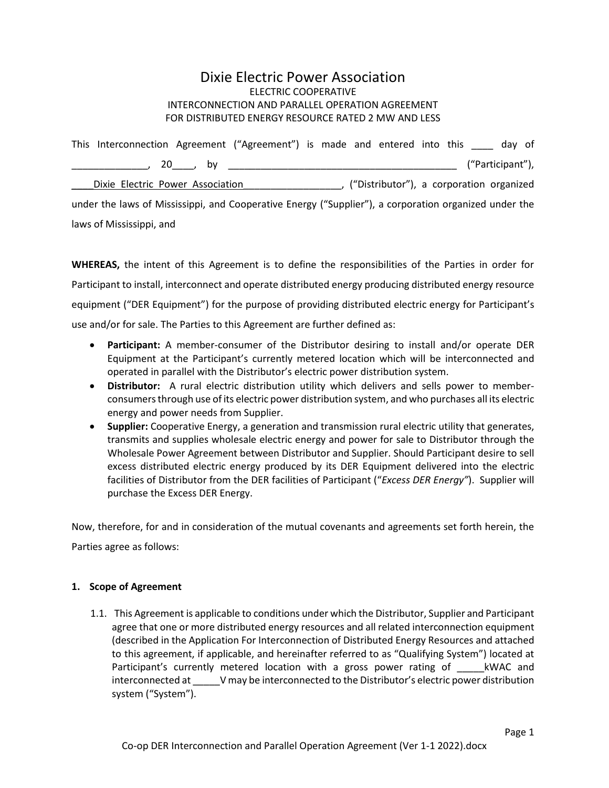# Dixie Electric Power Association ELECTRIC COOPERATIVE INTERCONNECTION AND PARALLEL OPERATION AGREEMENT FOR DISTRIBUTED ENERGY RESOURCE RATED 2 MW AND LESS

|                                                                                                       |                                  |  |  | This Interconnection Agreement ("Agreement") is made and entered into this day of |  |  |                                          |  |                  |  |  |
|-------------------------------------------------------------------------------------------------------|----------------------------------|--|--|-----------------------------------------------------------------------------------|--|--|------------------------------------------|--|------------------|--|--|
|                                                                                                       |                                  |  |  |                                                                                   |  |  |                                          |  | ("Participant"), |  |  |
|                                                                                                       | Dixie Electric Power Association |  |  |                                                                                   |  |  | ("Distributor"), a corporation organized |  |                  |  |  |
| under the laws of Mississippi, and Cooperative Energy ("Supplier"), a corporation organized under the |                                  |  |  |                                                                                   |  |  |                                          |  |                  |  |  |
|                                                                                                       | laws of Mississippi, and         |  |  |                                                                                   |  |  |                                          |  |                  |  |  |

**WHEREAS,** the intent of this Agreement is to define the responsibilities of the Parties in order for Participant to install, interconnect and operate distributed energy producing distributed energy resource equipment ("DER Equipment") for the purpose of providing distributed electric energy for Participant's use and/or for sale. The Parties to this Agreement are further defined as:

- **Participant:** A member-consumer of the Distributor desiring to install and/or operate DER Equipment at the Participant's currently metered location which will be interconnected and operated in parallel with the Distributor's electric power distribution system.
- **Distributor:** A rural electric distribution utility which delivers and sells power to memberconsumers through use of its electric power distribution system, and who purchases all its electric energy and power needs from Supplier.
- **Supplier:** Cooperative Energy, a generation and transmission rural electric utility that generates, transmits and supplies wholesale electric energy and power for sale to Distributor through the Wholesale Power Agreement between Distributor and Supplier. Should Participant desire to sell excess distributed electric energy produced by its DER Equipment delivered into the electric facilities of Distributor from the DER facilities of Participant ("*Excess DER Energy"*). Supplier will purchase the Excess DER Energy.

Now, therefore, for and in consideration of the mutual covenants and agreements set forth herein, the Parties agree as follows:

# **1. Scope of Agreement**

1.1. This Agreement is applicable to conditions under which the Distributor, Supplier and Participant agree that one or more distributed energy resources and all related interconnection equipment (described in the Application For Interconnection of Distributed Energy Resources and attached to this agreement, if applicable, and hereinafter referred to as "Qualifying System") located at Participant's currently metered location with a gross power rating of \_\_\_\_\_kWAC and interconnected at  $V$  may be interconnected to the Distributor's electric power distribution system ("System").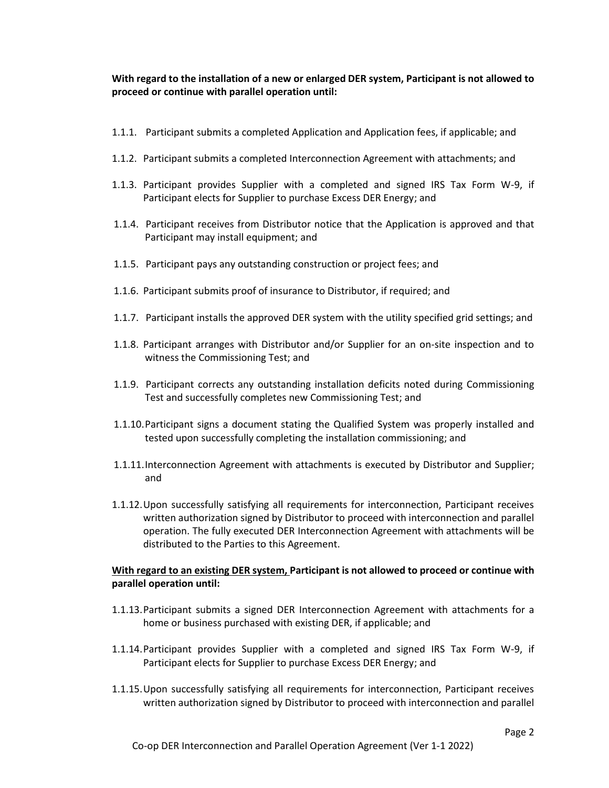**With regard to the installation of a new or enlarged DER system, Participant is not allowed to proceed or continue with parallel operation until:**

- 1.1.1. Participant submits a completed Application and Application fees, if applicable; and
- 1.1.2. Participant submits a completed Interconnection Agreement with attachments; and
- 1.1.3. Participant provides Supplier with a completed and signed IRS Tax Form W-9, if Participant elects for Supplier to purchase Excess DER Energy; and
- 1.1.4. Participant receives from Distributor notice that the Application is approved and that Participant may install equipment; and
- 1.1.5. Participant pays any outstanding construction or project fees; and
- 1.1.6. Participant submits proof of insurance to Distributor, if required; and
- 1.1.7. Participant installs the approved DER system with the utility specified grid settings; and
- 1.1.8. Participant arranges with Distributor and/or Supplier for an on-site inspection and to witness the Commissioning Test; and
- 1.1.9. Participant corrects any outstanding installation deficits noted during Commissioning Test and successfully completes new Commissioning Test; and
- 1.1.10.Participant signs a document stating the Qualified System was properly installed and tested upon successfully completing the installation commissioning; and
- 1.1.11.Interconnection Agreement with attachments is executed by Distributor and Supplier; and
- 1.1.12.Upon successfully satisfying all requirements for interconnection, Participant receives written authorization signed by Distributor to proceed with interconnection and parallel operation. The fully executed DER Interconnection Agreement with attachments will be distributed to the Parties to this Agreement.

# **With regard to an existing DER system, Participant is not allowed to proceed or continue with parallel operation until:**

- 1.1.13.Participant submits a signed DER Interconnection Agreement with attachments for a home or business purchased with existing DER, if applicable; and
- 1.1.14.Participant provides Supplier with a completed and signed IRS Tax Form W-9, if Participant elects for Supplier to purchase Excess DER Energy; and
- 1.1.15.Upon successfully satisfying all requirements for interconnection, Participant receives written authorization signed by Distributor to proceed with interconnection and parallel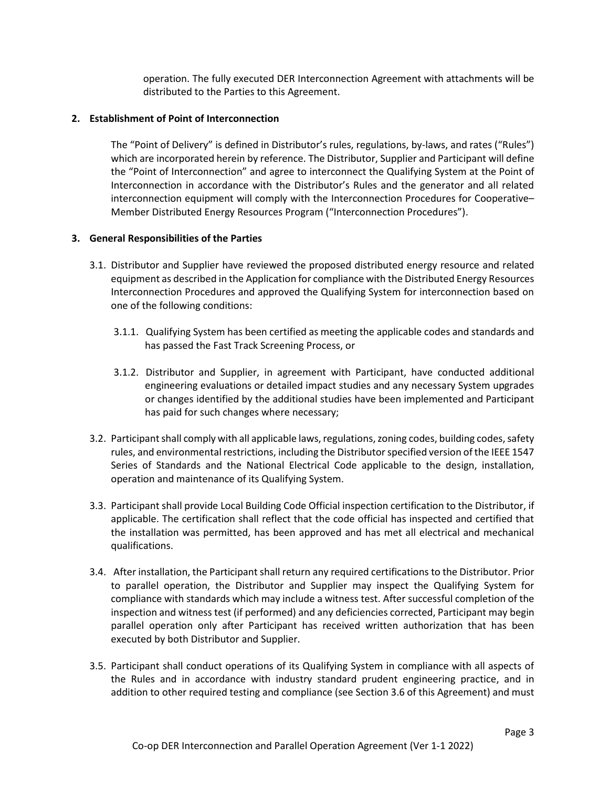operation. The fully executed DER Interconnection Agreement with attachments will be distributed to the Parties to this Agreement.

### **2. Establishment of Point of Interconnection**

The "Point of Delivery" is defined in Distributor's rules, regulations, by-laws, and rates ("Rules") which are incorporated herein by reference. The Distributor, Supplier and Participant will define the "Point of Interconnection" and agree to interconnect the Qualifying System at the Point of Interconnection in accordance with the Distributor's Rules and the generator and all related interconnection equipment will comply with the Interconnection Procedures for Cooperative– Member Distributed Energy Resources Program ("Interconnection Procedures").

### **3. General Responsibilities of the Parties**

- 3.1. Distributor and Supplier have reviewed the proposed distributed energy resource and related equipment as described in the Application for compliance with the Distributed Energy Resources Interconnection Procedures and approved the Qualifying System for interconnection based on one of the following conditions:
	- 3.1.1. Qualifying System has been certified as meeting the applicable codes and standards and has passed the Fast Track Screening Process, or
	- 3.1.2. Distributor and Supplier, in agreement with Participant, have conducted additional engineering evaluations or detailed impact studies and any necessary System upgrades or changes identified by the additional studies have been implemented and Participant has paid for such changes where necessary;
- 3.2. Participant shall comply with all applicable laws, regulations, zoning codes, building codes, safety rules, and environmental restrictions, including the Distributor specified version of the IEEE 1547 Series of Standards and the National Electrical Code applicable to the design, installation, operation and maintenance of its Qualifying System.
- 3.3. Participant shall provide Local Building Code Official inspection certification to the Distributor, if applicable. The certification shall reflect that the code official has inspected and certified that the installation was permitted, has been approved and has met all electrical and mechanical qualifications.
- 3.4. After installation, the Participant shall return any required certifications to the Distributor. Prior to parallel operation, the Distributor and Supplier may inspect the Qualifying System for compliance with standards which may include a witness test. After successful completion of the inspection and witness test (if performed) and any deficiencies corrected, Participant may begin parallel operation only after Participant has received written authorization that has been executed by both Distributor and Supplier.
- 3.5. Participant shall conduct operations of its Qualifying System in compliance with all aspects of the Rules and in accordance with industry standard prudent engineering practice, and in addition to other required testing and compliance (see Section 3.6 of this Agreement) and must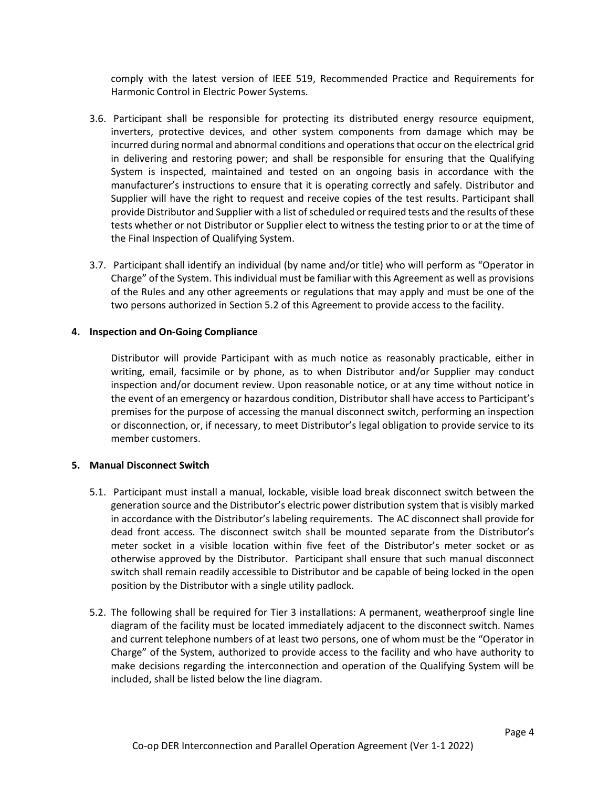comply with the latest version of IEEE 519, Recommended Practice and Requirements for Harmonic Control in Electric Power Systems.

- 3.6. Participant shall be responsible for protecting its distributed energy resource equipment, inverters, protective devices, and other system components from damage which may be incurred during normal and abnormal conditions and operations that occur on the electrical grid in delivering and restoring power; and shall be responsible for ensuring that the Qualifying System is inspected, maintained and tested on an ongoing basis in accordance with the manufacturer's instructions to ensure that it is operating correctly and safely. Distributor and Supplier will have the right to request and receive copies of the test results. Participant shall provide Distributor and Supplier with a list of scheduled or required tests and the results of these tests whether or not Distributor or Supplier elect to witness the testing prior to or at the time of the Final Inspection of Qualifying System.
- 3.7. Participant shall identify an individual (by name and/or title) who will perform as "Operator in Charge" of the System. This individual must be familiar with this Agreement as well as provisions of the Rules and any other agreements or regulations that may apply and must be one of the two persons authorized in Section 5.2 of this Agreement to provide access to the facility.

### **4. Inspection and On-Going Compliance**

Distributor will provide Participant with as much notice as reasonably practicable, either in writing, email, facsimile or by phone, as to when Distributor and/or Supplier may conduct inspection and/or document review. Upon reasonable notice, or at any time without notice in the event of an emergency or hazardous condition, Distributor shall have access to Participant's premises for the purpose of accessing the manual disconnect switch, performing an inspection or disconnection, or, if necessary, to meet Distributor's legal obligation to provide service to its member customers.

# **5. Manual Disconnect Switch**

- 5.1. Participant must install a manual, lockable, visible load break disconnect switch between the generation source and the Distributor's electric power distribution system that is visibly marked in accordance with the Distributor's labeling requirements. The AC disconnect shall provide for dead front access. The disconnect switch shall be mounted separate from the Distributor's meter socket in a visible location within five feet of the Distributor's meter socket or as otherwise approved by the Distributor. Participant shall ensure that such manual disconnect switch shall remain readily accessible to Distributor and be capable of being locked in the open position by the Distributor with a single utility padlock.
- 5.2. The following shall be required for Tier 3 installations: A permanent, weatherproof single line diagram of the facility must be located immediately adjacent to the disconnect switch. Names and current telephone numbers of at least two persons, one of whom must be the "Operator in Charge" of the System, authorized to provide access to the facility and who have authority to make decisions regarding the interconnection and operation of the Qualifying System will be included, shall be listed below the line diagram.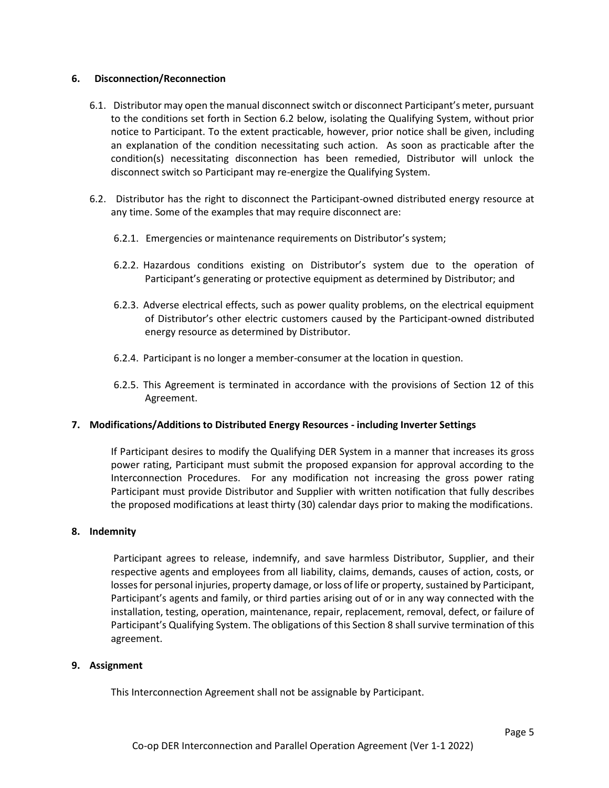#### **6. Disconnection/Reconnection**

- 6.1. Distributor may open the manual disconnect switch or disconnect Participant's meter, pursuant to the conditions set forth in Section 6.2 below, isolating the Qualifying System, without prior notice to Participant. To the extent practicable, however, prior notice shall be given, including an explanation of the condition necessitating such action. As soon as practicable after the condition(s) necessitating disconnection has been remedied, Distributor will unlock the disconnect switch so Participant may re-energize the Qualifying System.
- 6.2. Distributor has the right to disconnect the Participant-owned distributed energy resource at any time. Some of the examples that may require disconnect are:
	- 6.2.1. Emergencies or maintenance requirements on Distributor's system;
	- 6.2.2. Hazardous conditions existing on Distributor's system due to the operation of Participant's generating or protective equipment as determined by Distributor; and
	- 6.2.3. Adverse electrical effects, such as power quality problems, on the electrical equipment of Distributor's other electric customers caused by the Participant-owned distributed energy resource as determined by Distributor.
	- 6.2.4. Participant is no longer a member-consumer at the location in question.
	- 6.2.5. This Agreement is terminated in accordance with the provisions of Section 12 of this Agreement.

# **7. Modifications/Additions to Distributed Energy Resources - including Inverter Settings**

If Participant desires to modify the Qualifying DER System in a manner that increases its gross power rating, Participant must submit the proposed expansion for approval according to the Interconnection Procedures. For any modification not increasing the gross power rating Participant must provide Distributor and Supplier with written notification that fully describes the proposed modifications at least thirty (30) calendar days prior to making the modifications.

#### **8. Indemnity**

Participant agrees to release, indemnify, and save harmless Distributor, Supplier, and their respective agents and employees from all liability, claims, demands, causes of action, costs, or losses for personal injuries, property damage, or loss of life or property, sustained by Participant, Participant's agents and family, or third parties arising out of or in any way connected with the installation, testing, operation, maintenance, repair, replacement, removal, defect, or failure of Participant's Qualifying System. The obligations of this Section 8 shall survive termination of this agreement.

#### **9. Assignment**

This Interconnection Agreement shall not be assignable by Participant.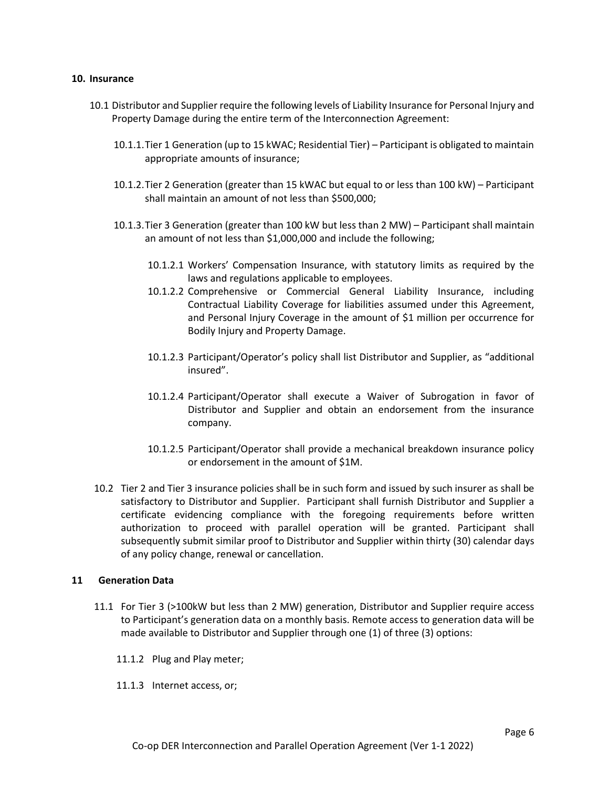#### **10. Insurance**

- 10.1 Distributor and Supplier require the following levels of Liability Insurance for Personal Injury and Property Damage during the entire term of the Interconnection Agreement:
	- 10.1.1.Tier 1 Generation (up to 15 kWAC; Residential Tier) Participant is obligated to maintain appropriate amounts of insurance;
	- 10.1.2.Tier 2 Generation (greater than 15 kWAC but equal to or less than 100 kW) Participant shall maintain an amount of not less than \$500,000;
	- 10.1.3.Tier 3 Generation (greater than 100 kW but less than 2 MW) Participant shall maintain an amount of not less than \$1,000,000 and include the following;
		- 10.1.2.1 Workers' Compensation Insurance, with statutory limits as required by the laws and regulations applicable to employees.
		- 10.1.2.2 Comprehensive or Commercial General Liability Insurance, including Contractual Liability Coverage for liabilities assumed under this Agreement, and Personal Injury Coverage in the amount of \$1 million per occurrence for Bodily Injury and Property Damage.
		- 10.1.2.3 Participant/Operator's policy shall list Distributor and Supplier, as "additional insured".
		- 10.1.2.4 Participant/Operator shall execute a Waiver of Subrogation in favor of Distributor and Supplier and obtain an endorsement from the insurance company.
		- 10.1.2.5 Participant/Operator shall provide a mechanical breakdown insurance policy or endorsement in the amount of \$1M.
- 10.2 Tier 2 and Tier 3 insurance policies shall be in such form and issued by such insurer as shall be satisfactory to Distributor and Supplier. Participant shall furnish Distributor and Supplier a certificate evidencing compliance with the foregoing requirements before written authorization to proceed with parallel operation will be granted. Participant shall subsequently submit similar proof to Distributor and Supplier within thirty (30) calendar days of any policy change, renewal or cancellation.

#### **11 Generation Data**

- 11.1 For Tier 3 (>100kW but less than 2 MW) generation, Distributor and Supplier require access to Participant's generation data on a monthly basis. Remote access to generation data will be made available to Distributor and Supplier through one (1) of three (3) options:
	- 11.1.2 Plug and Play meter;
	- 11.1.3 Internet access, or;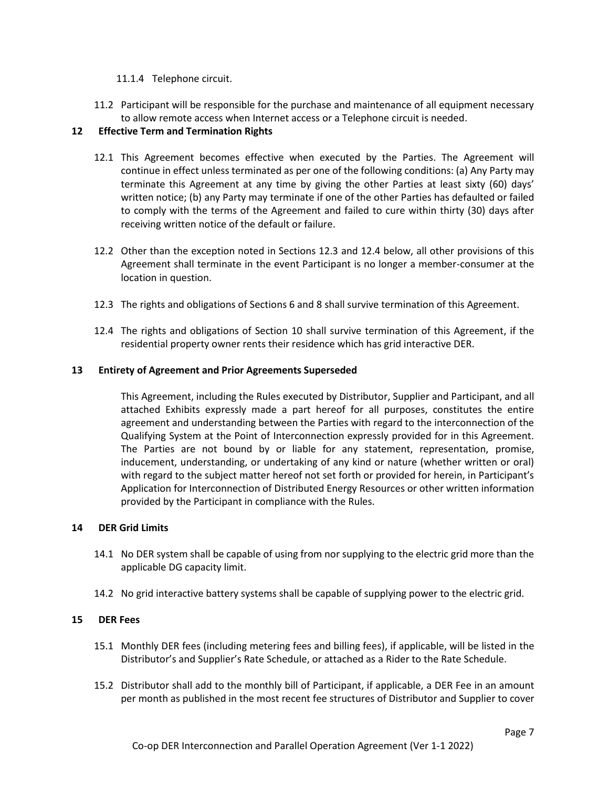### 11.1.4 Telephone circuit.

11.2 Participant will be responsible for the purchase and maintenance of all equipment necessary to allow remote access when Internet access or a Telephone circuit is needed.

# **12 Effective Term and Termination Rights**

- 12.1 This Agreement becomes effective when executed by the Parties. The Agreement will continue in effect unless terminated as per one of the following conditions: (a) Any Party may terminate this Agreement at any time by giving the other Parties at least sixty (60) days' written notice; (b) any Party may terminate if one of the other Parties has defaulted or failed to comply with the terms of the Agreement and failed to cure within thirty (30) days after receiving written notice of the default or failure.
- 12.2 Other than the exception noted in Sections 12.3 and 12.4 below, all other provisions of this Agreement shall terminate in the event Participant is no longer a member-consumer at the location in question.
- 12.3 The rights and obligations of Sections 6 and 8 shall survive termination of this Agreement.
- 12.4 The rights and obligations of Section 10 shall survive termination of this Agreement, if the residential property owner rents their residence which has grid interactive DER.

#### **13 Entirety of Agreement and Prior Agreements Superseded**

This Agreement, including the Rules executed by Distributor, Supplier and Participant, and all attached Exhibits expressly made a part hereof for all purposes, constitutes the entire agreement and understanding between the Parties with regard to the interconnection of the Qualifying System at the Point of Interconnection expressly provided for in this Agreement. The Parties are not bound by or liable for any statement, representation, promise, inducement, understanding, or undertaking of any kind or nature (whether written or oral) with regard to the subject matter hereof not set forth or provided for herein, in Participant's Application for Interconnection of Distributed Energy Resources or other written information provided by the Participant in compliance with the Rules.

#### **14 DER Grid Limits**

- 14.1 No DER system shall be capable of using from nor supplying to the electric grid more than the applicable DG capacity limit.
- 14.2 No grid interactive battery systems shall be capable of supplying power to the electric grid.

#### **15 DER Fees**

- 15.1 Monthly DER fees (including metering fees and billing fees), if applicable, will be listed in the Distributor's and Supplier's Rate Schedule, or attached as a Rider to the Rate Schedule.
- 15.2 Distributor shall add to the monthly bill of Participant, if applicable, a DER Fee in an amount per month as published in the most recent fee structures of Distributor and Supplier to cover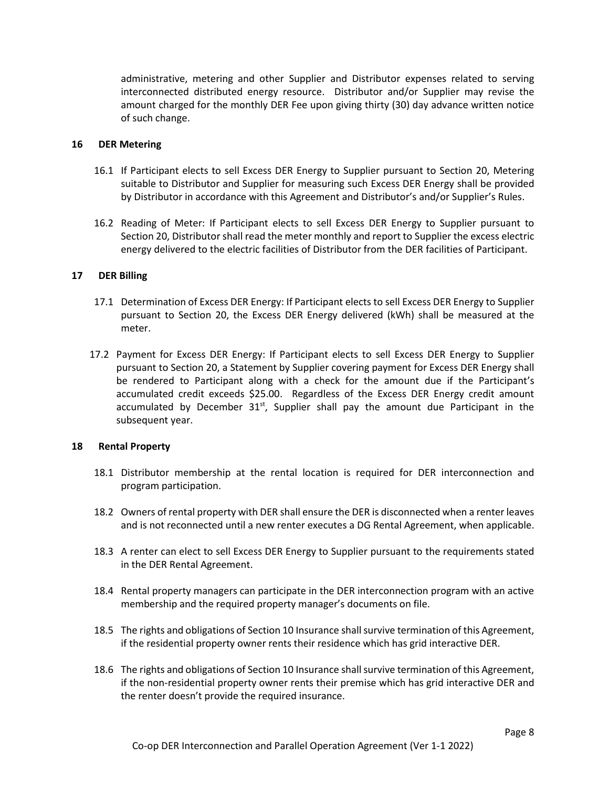administrative, metering and other Supplier and Distributor expenses related to serving interconnected distributed energy resource. Distributor and/or Supplier may revise the amount charged for the monthly DER Fee upon giving thirty (30) day advance written notice of such change.

### **16 DER Metering**

- 16.1 If Participant elects to sell Excess DER Energy to Supplier pursuant to Section 20, Metering suitable to Distributor and Supplier for measuring such Excess DER Energy shall be provided by Distributor in accordance with this Agreement and Distributor's and/or Supplier's Rules.
- 16.2 Reading of Meter: If Participant elects to sell Excess DER Energy to Supplier pursuant to Section 20, Distributor shall read the meter monthly and report to Supplier the excess electric energy delivered to the electric facilities of Distributor from the DER facilities of Participant.

### **17 DER Billing**

- 17.1 Determination of Excess DER Energy: If Participant elects to sell Excess DER Energy to Supplier pursuant to Section 20, the Excess DER Energy delivered (kWh) shall be measured at the meter.
- 17.2 Payment for Excess DER Energy: If Participant elects to sell Excess DER Energy to Supplier pursuant to Section 20, a Statement by Supplier covering payment for Excess DER Energy shall be rendered to Participant along with a check for the amount due if the Participant's accumulated credit exceeds \$25.00. Regardless of the Excess DER Energy credit amount accumulated by December  $31<sup>st</sup>$ , Supplier shall pay the amount due Participant in the subsequent year.

#### **18 Rental Property**

- 18.1 Distributor membership at the rental location is required for DER interconnection and program participation.
- 18.2 Owners of rental property with DER shall ensure the DER is disconnected when a renter leaves and is not reconnected until a new renter executes a DG Rental Agreement, when applicable.
- 18.3 A renter can elect to sell Excess DER Energy to Supplier pursuant to the requirements stated in the DER Rental Agreement.
- 18.4 Rental property managers can participate in the DER interconnection program with an active membership and the required property manager's documents on file.
- 18.5 The rights and obligations of Section 10 Insurance shall survive termination of this Agreement, if the residential property owner rents their residence which has grid interactive DER.
- 18.6 The rights and obligations of Section 10 Insurance shall survive termination of this Agreement, if the non-residential property owner rents their premise which has grid interactive DER and the renter doesn't provide the required insurance.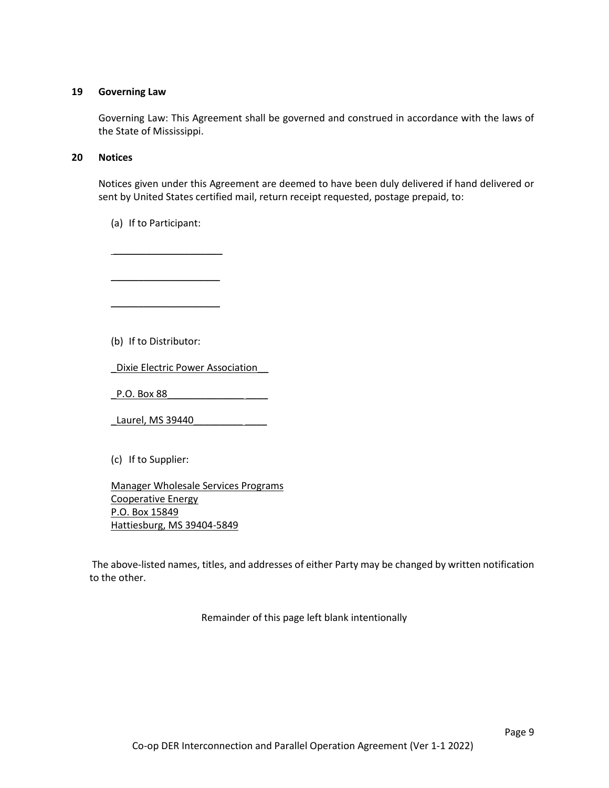### **19 Governing Law**

Governing Law: This Agreement shall be governed and construed in accordance with the laws of the State of Mississippi.

### **20 Notices**

Notices given under this Agreement are deemed to have been duly delivered if hand delivered or sent by United States certified mail, return receipt requested, postage prepaid, to:

(a) If to Participant:

\_\_\_\_\_\_\_\_\_\_\_\_\_\_\_\_\_\_\_\_

\_\_\_\_\_\_\_\_\_\_\_\_\_\_\_\_\_\_\_\_

\_\_\_\_\_\_\_\_\_\_\_\_\_\_\_\_\_\_\_\_

(b) If to Distributor:

\_Dixie Electric Power Association\_\_

\_P.O. Box 88\_\_\_\_\_\_\_\_\_\_\_\_\_\_ \_\_\_\_

\_Laurel, MS 39440\_\_\_\_\_\_\_\_\_ \_\_\_\_

(c) If to Supplier:

Manager Wholesale Services Programs Cooperative Energy P.O. Box 15849 Hattiesburg, MS 39404-5849

The above-listed names, titles, and addresses of either Party may be changed by written notification to the other.

Remainder of this page left blank intentionally